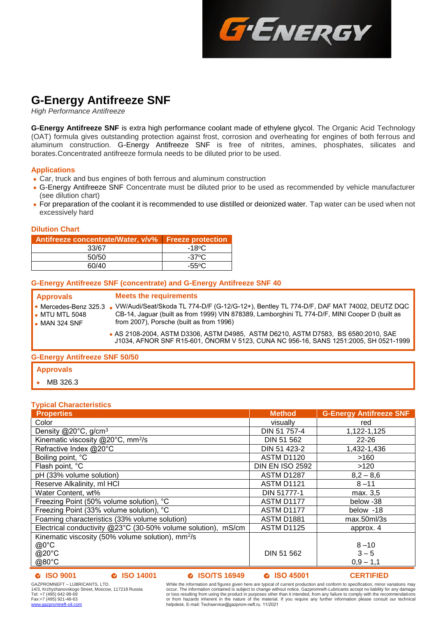

# **G-Energy Antifreeze SNF**

*High Performance Antifreeze*

**G-Energy Antifreeze SNF** is extra high performance coolant made of ethylene glycol. The Organic Acid Technology (OAT) formula gives outstanding protection against frost, corrosion and overheating for engines of both ferrous and aluminum construction. G-Energy Antifreeze SNF is free of nitrites, amines, phosphates, silicates and borates.Concentrated antifreeze formula needs to be diluted prior to be used.

# **Applications**

- Car, truck and bus engines of both ferrous and aluminum construction
- G-Energy Antifreeze SNF Concentrate must be diluted prior to be used as recommended by vehicle manufacturer (see dilution chart)
- For preparation of the coolant it is recommended to use distilled or deionized water. Tap water can be used when not excessively hard

# **Dilution Chart**

| Antifreeze concentrate/Water, v/v%   Freeze protection |                 |
|--------------------------------------------------------|-----------------|
| 33/67                                                  | $-18$ °C        |
| 50/50                                                  | $-37^\circ$ C   |
| 60/40                                                  | $-55^{\circ}$ C |

# **G-Energy Antifreeze SNF (concentrate) and G-Energy Antifreeze SNF 40**

| <b>Approvals</b><br>• Mercedes-Benz 325.3<br>$\bullet$ MTU MTL 5048<br>$\bullet$ MAN 324 SNF | <b>Meets the requirements</b><br>. VW/Audi/Seat/Skoda TL 774-D/F (G-12/G-12+), Bentley TL 774-D/F, DAF MAT 74002, DEUTZ DQC<br>CB-14, Jaguar (built as from 1999) VIN 878389, Lamborghini TL 774-D/F, MINI Cooper D (built as<br>from 2007), Porsche (built as from 1996) |  |  |  |
|----------------------------------------------------------------------------------------------|---------------------------------------------------------------------------------------------------------------------------------------------------------------------------------------------------------------------------------------------------------------------------|--|--|--|
|                                                                                              | • AS 2108-2004, ASTM D3306, ASTM D4985, ASTM D6210, ASTM D7583, BS 6580:2010, SAE<br>J1034, AFNOR SNF R15-601, ÖNORM V 5123, CUNA NC 956-16, SANS 1251:2005, SH 0521-1999                                                                                                 |  |  |  |
| <b>G-Energy Antifreeze SNF 50/50</b>                                                         |                                                                                                                                                                                                                                                                           |  |  |  |

# **Approvals**

MB 326.3

# **Typical Characteristics**

| <b>Properties</b>                                             | <b>Method</b>          | <b>G-Energy Antifreeze SNF</b>      |
|---------------------------------------------------------------|------------------------|-------------------------------------|
| Color                                                         | visually               | red                                 |
| Density $@20^{\circ}$ C, g/cm <sup>3</sup>                    | DIN 51 757-4           | 1,122-1,125                         |
| Kinematic viscosity @20°C, mm <sup>2</sup> /s                 | DIN 51 562             | $22 - 26$                           |
| Refractive Index @20°C                                        | DIN 51 423-2           | 1,432-1,436                         |
| Boiling point, °C                                             | <b>ASTM D1120</b>      | >160                                |
| Flash point, °C                                               | <b>DIN EN ISO 2592</b> | >120                                |
| pH (33% volume solution)                                      | ASTM D1287             | $8,2 - 8,6$                         |
| Reserve Alkalinity, ml HCl                                    | <b>ASTM D1121</b>      | $8 - 11$                            |
| Water Content, wt%                                            | DIN 51777-1            | max. 3,5                            |
| Freezing Point (50% volume solution), °C                      | ASTM D1177             | below -38                           |
| Freezing Point (33% volume solution), °C                      | ASTM D1177             | below -18                           |
| Foaming characteristics (33% volume solution)                 | <b>ASTM D1881</b>      | max.50 <sub>m</sub> /3 <sub>s</sub> |
| Electrical conductivity @23°C (30-50% volume solution), mS/cm | <b>ASTM D1125</b>      | approx. 4                           |
| Kinematic viscosity (50% volume solution), mm <sup>2</sup> /s |                        |                                     |
| $@0^{\circ}$ C                                                |                        | $8 - 10$                            |
| @20°C                                                         | DIN 51 562             | $3 - 5$                             |
| @80°C                                                         |                        | $0,9 - 1,1$                         |
|                                                               |                        |                                     |

### **ISO 9001 ISO 14001 ISO/TS 16949 ISO 45001 CERTIFIED**

GAZPROMNEFT – LUBRICANTS, LTD. 14/3, Krzhyzhanovskogo Street, Moscow, 117218 Russia Tel: +7 (495) 642-99-69 Fax:+7 (495) 921-48-63 [www.gazpromneft-oil.com](http://www.gazpromneft-oil.com/)

While the information and figures given here are typical of current production and conform to specification, minor variations may occur. The information contained is subject to change without notice. Gazpromneft-Lubricants accept no liability for any damage<br>or loss resulting from using the product in purposes other than it intended, from any failure or from hazards inherent in the nature of the material. If you require any further information please consult our technical helpdesk. E-mail: [Techservice@gazpr](mailto:OilSupport@gazprom-neft.ru)om-neft.ru. 11/2021